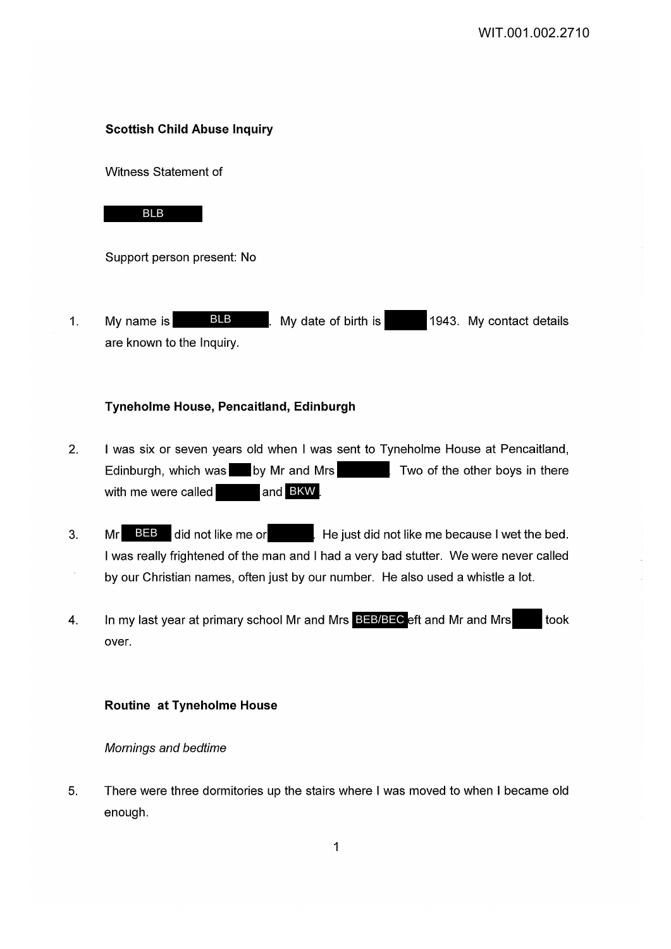### **Scottish Child Abuse Inquiry**

Witness Statement of

# BLB

Support person present: No

1. My name is **BLB** Ny date of birth is 1943. My contact details are known to the Inquiry. BLB

### **Tyneholme House, Pencaitland, Edinburgh**

- 2. I was six or seven years old when I was sent to Tyneholme House at Pencaitland, Edinburgh, which was by Mr and Mrs Two of the other boys in there with me were called **buying the same of BKW**
- 3. Mr  $BIB$  did not like me or He just did not like me because I wet the bed. I was really frightened of the man and I had a very bad stutter. We were never called by our Christian names, often just by our number. He also used a whistle a lot. **BEB** did not like me or
- 4. In my last year at primary school Mr and Mrs BEB/BEC eft and Mr and Mrs took over.

#### **Routine at Tyneholme House**

Mornings and bedtime

5. There were three dormitories up the stairs where I was moved to when I became old enough.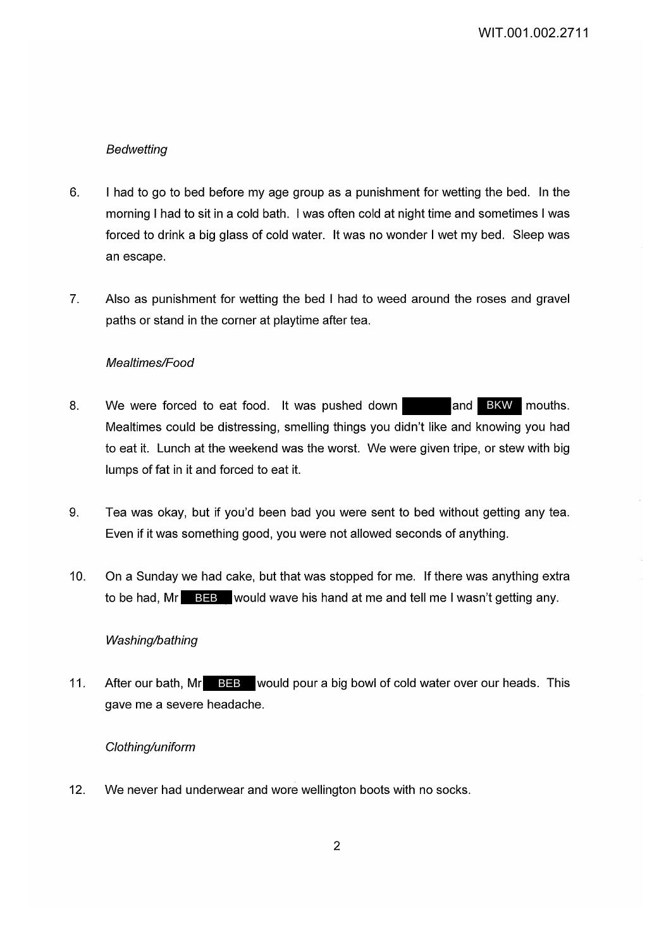## Bedwetting

- 6. I had to go to bed before my age group as a punishment for wetting the bed. In the morning I had to sit in a cold bath. I was often cold at night time and sometimes I was forced to drink a big glass of cold water. It was no wonder I wet my bed. Sleep was an escape.
- 7. Also as punishment for wetting the bed I had to weed around the roses and gravel paths or stand in the corner at playtime after tea.

#### Mealtimes/Food

- 8. We were forced to eat food. It was pushed down Mealtimes could be distressing, smelling things you didn't like and knowing you had to eat it. Lunch at the weekend was the worst. We were given tripe, or stew with big lumps of fat in it and forced to eat it. and BKW mouths.
- 9. Tea was okay, but if you'd been bad you were sent to bed without getting any tea. Even if it was something good, you were not allowed seconds of anything.
- 10. On a Sunday we had cake, but that was stopped for me. If there was anything extra to be had, Mr BEB would wave his hand at me and tell me I wasn't getting any.

#### Washing/bathing

11. After our bath, Mr BEB would pour a big bowl of cold water over our heads. This gave me a severe headache.

#### Clothing/uniform

12. We never had underwear and wore wellington boots with no socks.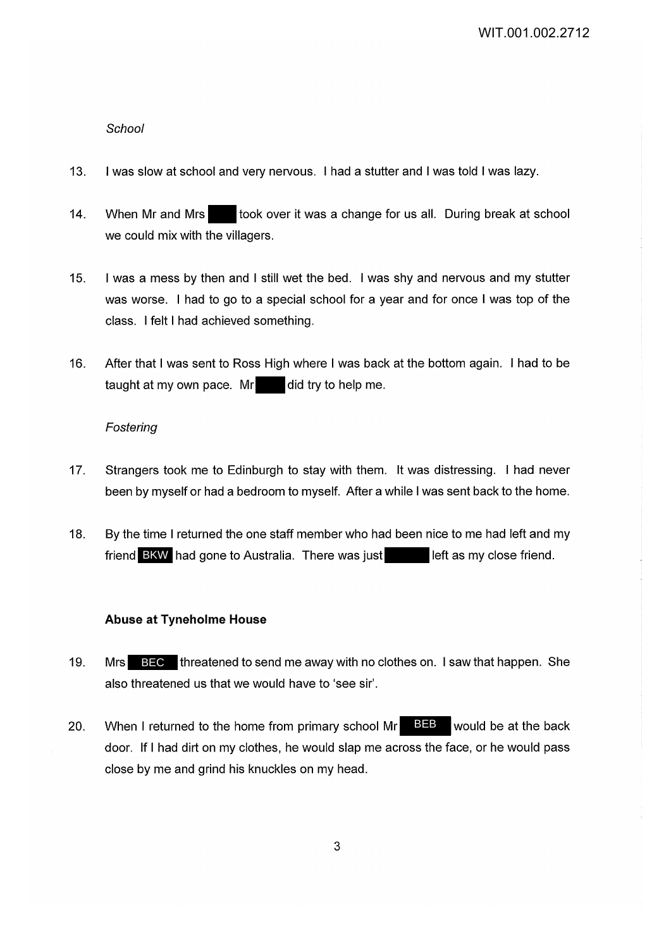### **School**

- 13. I was slow at school and very nervous. I had a stutter and I was told I was lazy.
- 14. When Mr and Mrs took over it was a change for us all. During break at school we could mix with the villagers.
- 15. I was a mess by then and I still wet the bed. I was shy and nervous and my stutter was worse. I had to go to a special school for a year and for once I was top of the class. I felt I had achieved something.
- 16. After that I was sent to Ross High where I was back at the bottom again. I had to be taught at my own pace.  $Mr$  did try to help me.

#### Fostering

- 17. Strangers took me to Edinburgh to stay with them. It was distressing. I had never been by myself or had a bedroom to myself. After a while I was sent back to the home.
- 18. By the time I returned the one staff member who had been nice to me had left and my friend BKW had gone to Australia. There was just left as my close friend.

## **Abuse at Tyneholme House**

- 19. Mrs BEC threatened to send me away with no clothes on. I saw that happen. She also threatened us that we would have to 'see sir'.
- 20. When I returned to the home from primary school Mr  $\overline{BEB}$  would be at the back door. If I had dirt on my clothes, he would slap me across the face, or he would pass close by me and grind his knuckles on my head.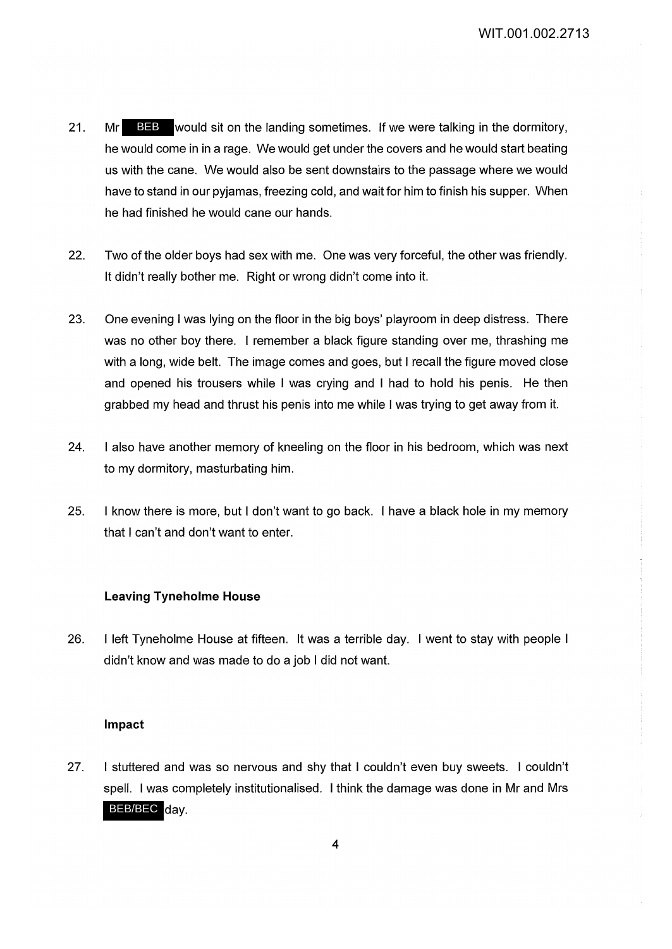- 21. Mr BEB would sit on the landing sometimes. If we were talking in the dormitory, he would come in in a rage. We would get under the covers and he would start beating us with the cane. We would also be sent downstairs to the passage where we would have to stand in our pyjamas, freezing cold, and wait for him to finish his supper. When he had finished he would cane our hands.
- 22. Two of the older boys had sex with me. One was very forceful, the other was friendly. It didn't really bother me. Right or wrong didn't come into it.
- 23. One evening I was lying on the floor in the big boys' playroom in deep distress. There was no other boy there. I remember a black figure standing over me, thrashing me with a long, wide belt. The image comes and goes, but I recall the figure moved close and opened his trousers while I was crying and I had to hold his penis. He then grabbed my head and thrust his penis into me while I was trying to get away from it.
- 24. I also have another memory of kneeling on the floor in his bedroom, which was next to my dormitory, masturbating him.
- 25. I know there is more, but I don't want to go back. I have a black hole in my memory that I can't and don't want to enter.

#### **Leaving Tyneholme House**

26. I left Tyneholme House at fifteen. It was a terrible day. I went to stay with people I didn't know and was made to do a job I did not want.

#### **Impact**

27. I stuttered and was so nervous and shy that I couldn't even buy sweets. I couldn't spell. I was completely institutionalised. I think the damage was done in Mr and Mrs BEB/BEC day.